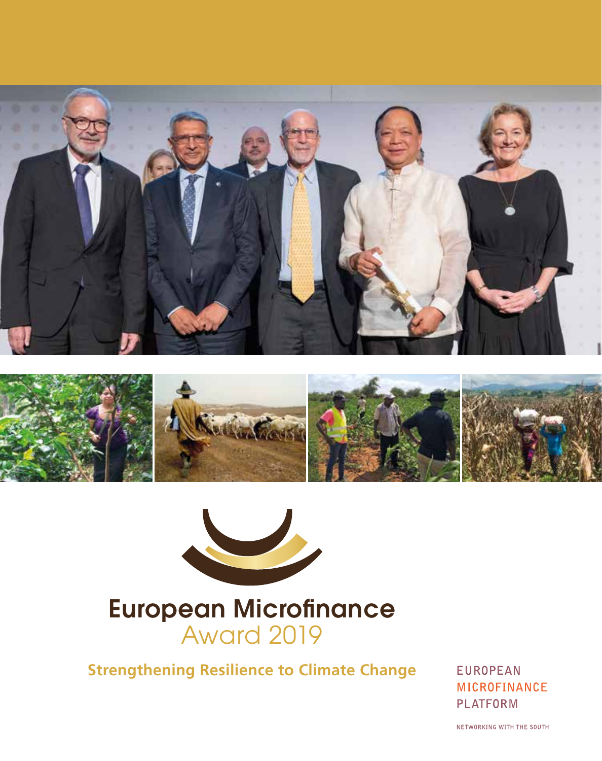





# European Microfinance Award 2019

**Strengthening Resilience to Climate Change**

**EUROPEAN MICROFINANCE PLATFORM** 

NETWORKING WITH THE SOUTH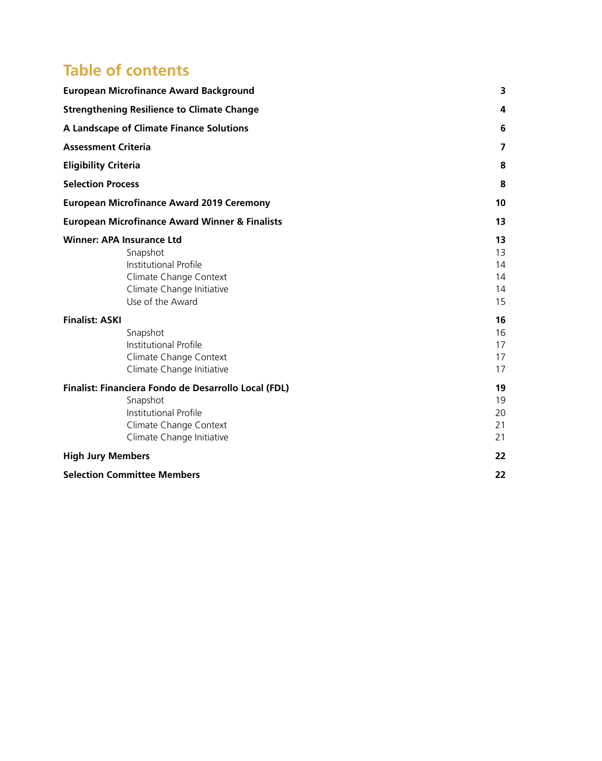# **Table of contents**

| <b>European Microfinance Award Background</b>                                                                                                    |  | 3                                |
|--------------------------------------------------------------------------------------------------------------------------------------------------|--|----------------------------------|
| <b>Strengthening Resilience to Climate Change</b>                                                                                                |  | 4                                |
| A Landscape of Climate Finance Solutions<br><b>Assessment Criteria</b><br><b>Eligibility Criteria</b>                                            |  | 6                                |
|                                                                                                                                                  |  | 7                                |
|                                                                                                                                                  |  | 8                                |
| <b>Selection Process</b>                                                                                                                         |  | 8                                |
| <b>European Microfinance Award 2019 Ceremony</b>                                                                                                 |  | 10                               |
| <b>European Microfinance Award Winner &amp; Finalists</b>                                                                                        |  | 13                               |
| <b>Winner: APA Insurance Ltd</b><br>Snapshot<br>Institutional Profile<br>Climate Change Context<br>Climate Change Initiative<br>Use of the Award |  | 13<br>13<br>14<br>14<br>14<br>15 |
| <b>Finalist: ASKI</b><br>Snapshot<br>Institutional Profile<br>Climate Change Context<br>Climate Change Initiative                                |  | 16<br>16<br>17<br>17<br>17       |
| Finalist: Financiera Fondo de Desarrollo Local (FDL)<br>Snapshot<br>Institutional Profile<br>Climate Change Context<br>Climate Change Initiative |  | 19<br>19<br>20<br>21<br>21       |
| <b>High Jury Members</b>                                                                                                                         |  | 22                               |
| <b>Selection Committee Members</b>                                                                                                               |  | 22                               |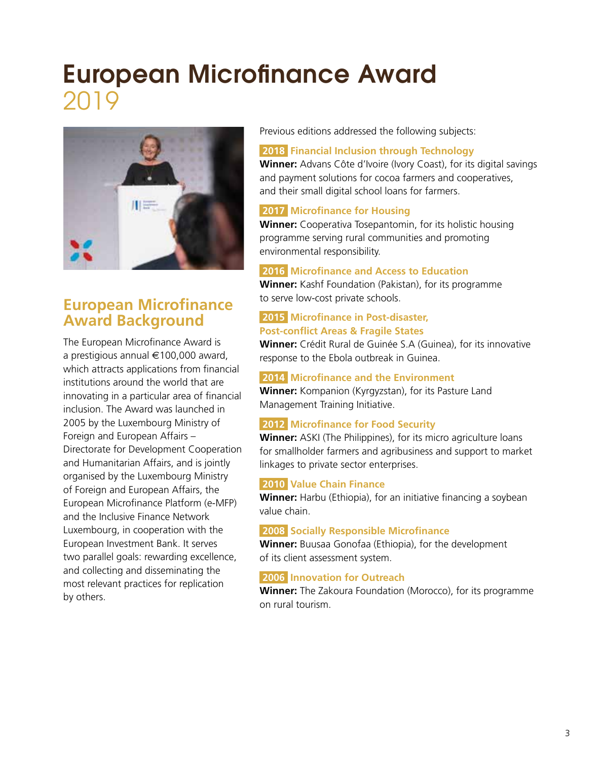# European Microfinance Award 2019



## **European Microfinance Award Background**

The European Microfinance Award is a prestigious annual €100,000 award, which attracts applications from financial institutions around the world that are innovating in a particular area of financial inclusion. The Award was launched in 2005 by the Luxembourg Ministry of Foreign and European Affairs – Directorate for Development Cooperation and Humanitarian Affairs, and is jointly organised by the Luxembourg Ministry of Foreign and European Affairs, the European Microfinance Platform (e-MFP) and the Inclusive Finance Network Luxembourg, in cooperation with the European Investment Bank. It serves two parallel goals: rewarding excellence, and collecting and disseminating the most relevant practices for replication by others.

Previous editions addressed the following subjects:

#### **2018 Financial Inclusion through Technology**

**Winner:** Advans Côte d'Ivoire (Ivory Coast), for its digital savings and payment solutions for cocoa farmers and cooperatives, and their small digital school loans for farmers.

#### **2017 Microfinance for Housing**

**Winner:** Cooperativa Tosepantomin, for its holistic housing programme serving rural communities and promoting environmental responsibility.

#### **2016 Microfinance and Access to Education**

**Winner:** Kashf Foundation (Pakistan), for its programme to serve low-cost private schools.

#### **2015 Microfinance in Post-disaster, Post-conflict Areas & Fragile States**

**Winner:** Crédit Rural de Guinée S.A (Guinea), for its innovative response to the Ebola outbreak in Guinea.

#### **2014 Microfinance and the Environment**

**Winner:** Kompanion (Kyrgyzstan), for its Pasture Land Management Training Initiative.

#### **2012** Microfinance for Food Security

**Winner:** ASKI (The Philippines), for its micro agriculture loans for smallholder farmers and agribusiness and support to market linkages to private sector enterprises.

#### **2010 Value Chain Finance**

**Winner:** Harbu (Ethiopia), for an initiative financing a soybean value chain.

#### **2008 Socially Responsible Microfinance**

**Winner:** Buusaa Gonofaa (Ethiopia), for the development of its client assessment system.

#### **2006 Innovation for Outreach**

**Winner:** The Zakoura Foundation (Morocco), for its programme on rural tourism.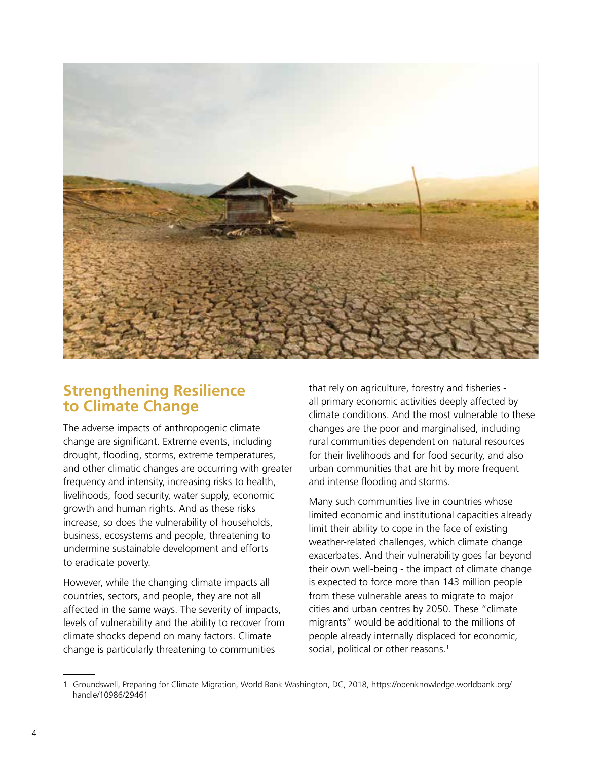

### **Strengthening Resilience to Climate Change**

The adverse impacts of anthropogenic climate change are significant. Extreme events, including drought, flooding, storms, extreme temperatures, and other climatic changes are occurring with greater frequency and intensity, increasing risks to health, livelihoods, food security, water supply, economic growth and human rights. And as these risks increase, so does the vulnerability of households, business, ecosystems and people, threatening to undermine sustainable development and efforts to eradicate poverty.

However, while the changing climate impacts all countries, sectors, and people, they are not all affected in the same ways. The severity of impacts, levels of vulnerability and the ability to recover from climate shocks depend on many factors. Climate change is particularly threatening to communities

that rely on agriculture, forestry and fisheries all primary economic activities deeply affected by climate conditions. And the most vulnerable to these changes are the poor and marginalised, including rural communities dependent on natural resources for their livelihoods and for food security, and also urban communities that are hit by more frequent and intense flooding and storms.

Many such communities live in countries whose limited economic and institutional capacities already limit their ability to cope in the face of existing weather-related challenges, which climate change exacerbates. And their vulnerability goes far beyond their own well-being - the impact of climate change is expected to force more than 143 million people from these vulnerable areas to migrate to major cities and urban centres by 2050. These "climate migrants" would be additional to the millions of people already internally displaced for economic, social, political or other reasons.<sup>1</sup>

<sup>1</sup> Groundswell, Preparing for Climate Migration, World Bank Washington, DC, 2018, https://openknowledge.worldbank.org/ handle/10986/29461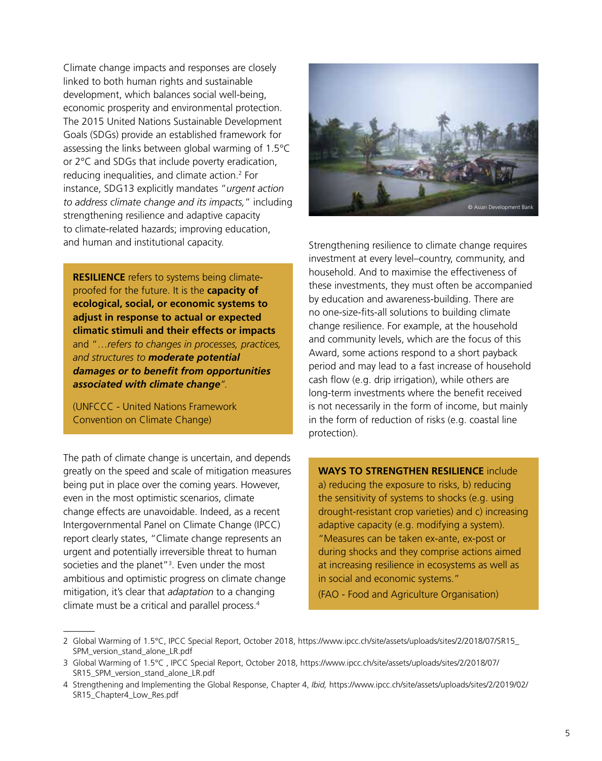Climate change impacts and responses are closely linked to both human rights and sustainable development, which balances social well-being, economic prosperity and environmental protection. The 2015 United Nations Sustainable Development Goals (SDGs) provide an established framework for assessing the links between global warming of 1.5°C or 2°C and SDGs that include poverty eradication, reducing inequalities, and climate action.2 For instance, SDG13 explicitly mandates "*urgent action to address climate change and its impacts,*" including strengthening resilience and adaptive capacity to climate-related hazards; improving education, and human and institutional capacity.

**RESILIENCE** refers to systems being climateproofed for the future. It is the **capacity of ecological, social, or economic systems to adjust in response to actual or expected climatic stimuli and their effects or impacts** and "…*refers to changes in processes, practices, and structures to moderate potential damages or to benefit from opportunities associated with climate change".* 

(UNFCCC - United Nations Framework Convention on Climate Change)

The path of climate change is uncertain, and depends greatly on the speed and scale of mitigation measures being put in place over the coming years. However, even in the most optimistic scenarios, climate change effects are unavoidable. Indeed, as a recent Intergovernmental Panel on Climate Change (IPCC) report clearly states, "Climate change represents an urgent and potentially irreversible threat to human societies and the planet"<sup>3</sup>. Even under the most ambitious and optimistic progress on climate change mitigation, it's clear that *adaptation* to a changing climate must be a critical and parallel process.4



Strengthening resilience to climate change requires investment at every level–country, community, and household. And to maximise the effectiveness of these investments, they must often be accompanied by education and awareness-building. There are no one-size-fits-all solutions to building climate change resilience. For example, at the household and community levels, which are the focus of this Award, some actions respond to a short payback period and may lead to a fast increase of household cash flow (e.g. drip irrigation), while others are long-term investments where the benefit received is not necessarily in the form of income, but mainly in the form of reduction of risks (e.g. coastal line protection).

### **WAYS TO STRENGTHEN RESILIENCE** include

a) reducing the exposure to risks, b) reducing the sensitivity of systems to shocks (e.g. using drought-resistant crop varieties) and c) increasing adaptive capacity (e.g. modifying a system). "Measures can be taken ex-ante, ex-post or during shocks and they comprise actions aimed at increasing resilience in ecosystems as well as in social and economic systems."

(FAO - Food and Agriculture Organisation)

<sup>2</sup> Global Warming of 1.5°C, IPCC Special Report, October 2018, [https://www.ipcc.ch/site/assets/uploads/sites/2/2018/07/SR15\\_](https://www.ipcc.ch/site/assets/uploads/sites/2/2018/07/SR15_SPM_version_stand_alone_LR.pdf) [SPM\\_version\\_stand\\_alone\\_LR.pdf](https://www.ipcc.ch/site/assets/uploads/sites/2/2018/07/SR15_SPM_version_stand_alone_LR.pdf)

<sup>3</sup> Global Warming of 1.5°C , IPCC Special Report, October 2018, [https://www.ipcc.ch/site/assets/uploads/sites/2/2018/07/](https://www.ipcc.ch/site/assets/uploads/sites/2/2018/07/SR15_SPM_version_stand_alone_LR.pdf) [SR15\\_SPM\\_version\\_stand\\_alone\\_LR.pdf](https://www.ipcc.ch/site/assets/uploads/sites/2/2018/07/SR15_SPM_version_stand_alone_LR.pdf)

<sup>4</sup> Strengthening and Implementing the Global Response, Chapter 4, *Ibid,* [https://www.ipcc.ch/site/assets/uploads/sites/2/2019/02/](https://www.ipcc.ch/site/assets/uploads/sites/2/2019/02/SR15_Chapter4_Low_Res.pdf) [SR15\\_Chapter4\\_Low\\_Res.pdf](https://www.ipcc.ch/site/assets/uploads/sites/2/2019/02/SR15_Chapter4_Low_Res.pdf)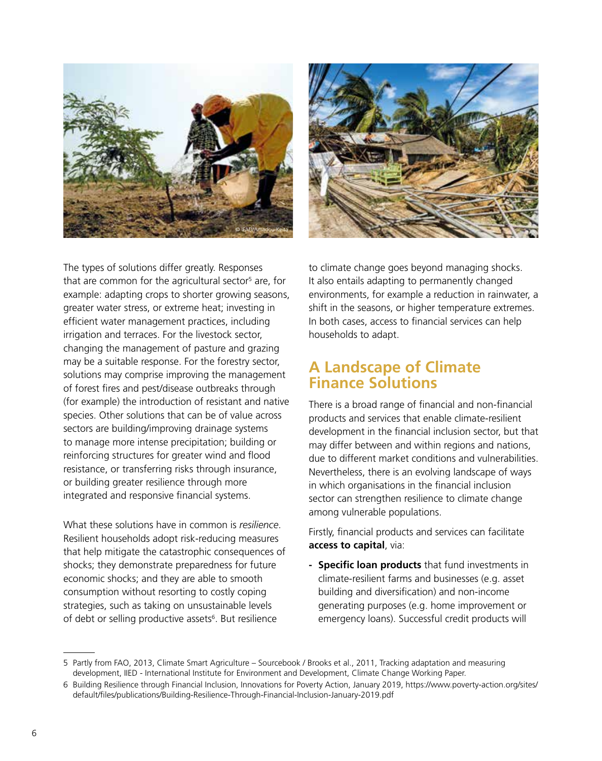



The types of solutions differ greatly. Responses that are common for the agricultural sector<sup>s</sup> are, for example: adapting crops to shorter growing seasons, greater water stress, or extreme heat; investing in efficient water management practices, including irrigation and terraces. For the livestock sector, changing the management of pasture and grazing may be a suitable response. For the forestry sector, solutions may comprise improving the management of forest fires and pest/disease outbreaks through (for example) the introduction of resistant and native species. Other solutions that can be of value across sectors are building/improving drainage systems to manage more intense precipitation; building or reinforcing structures for greater wind and flood resistance, or transferring risks through insurance, or building greater resilience through more integrated and responsive financial systems.

What these solutions have in common is *resilience*. Resilient households adopt risk-reducing measures that help mitigate the catastrophic consequences of shocks; they demonstrate preparedness for future economic shocks; and they are able to smooth consumption without resorting to costly coping strategies, such as taking on unsustainable levels of debt or selling productive assets<sup>6</sup>. But resilience

to climate change goes beyond managing shocks. It also entails adapting to permanently changed environments, for example a reduction in rainwater, a shift in the seasons, or higher temperature extremes. In both cases, access to financial services can help households to adapt.

### **A Landscape of Climate Finance Solutions**

There is a broad range of financial and non-financial products and services that enable climate-resilient development in the financial inclusion sector, but that may differ between and within regions and nations, due to different market conditions and vulnerabilities. Nevertheless, there is an evolving landscape of ways in which organisations in the financial inclusion sector can strengthen resilience to climate change among vulnerable populations.

Firstly, financial products and services can facilitate **access to capital**, via:

**- Specific loan products** that fund investments in climate-resilient farms and businesses (e.g. asset building and diversification) and non-income generating purposes (e.g. home improvement or emergency loans). Successful credit products will

<sup>5</sup> Partly from FAO, 2013, Climate Smart Agriculture – Sourcebook / Brooks et al., 2011, Tracking adaptation and measuring development, IIED - International Institute for Environment and Development, Climate Change Working Paper.

<sup>6</sup> Building Resilience through Financial Inclusion, Innovations for Poverty Action, January 2019, [https://www.poverty-action.org/sites/](https://www.poverty-action.org/sites/default/files/publications/Building-Resilience-Through-Financial-Inclusion-January-2019.pdf) [default/files/publications/Building-Resilience-Through-Financial-Inclusion-January-2019.pdf](https://www.poverty-action.org/sites/default/files/publications/Building-Resilience-Through-Financial-Inclusion-January-2019.pdf)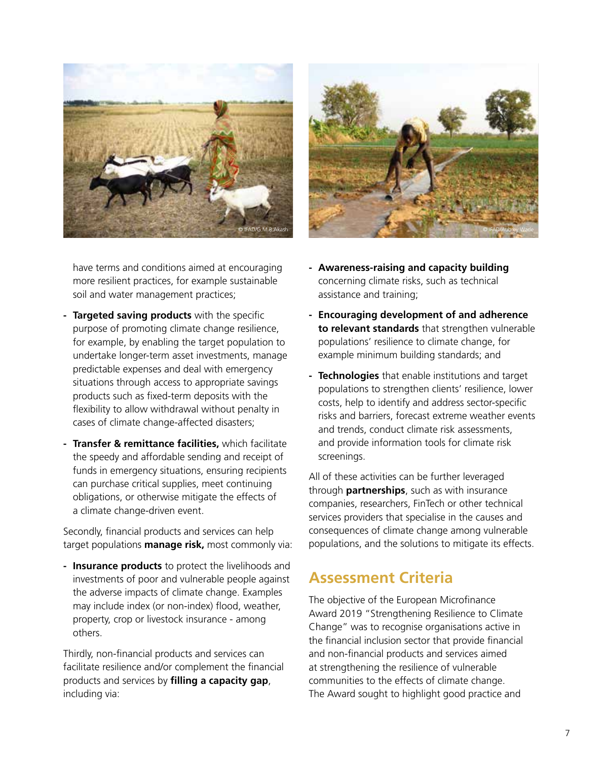



have terms and conditions aimed at encouraging more resilient practices, for example sustainable soil and water management practices;

- **- Targeted saving products** with the specific purpose of promoting climate change resilience, for example, by enabling the target population to undertake longer-term asset investments, manage predictable expenses and deal with emergency situations through access to appropriate savings products such as fixed-term deposits with the flexibility to allow withdrawal without penalty in cases of climate change-affected disasters;
- **- Transfer & remittance facilities,** which facilitate the speedy and affordable sending and receipt of funds in emergency situations, ensuring recipients can purchase critical supplies, meet continuing obligations, or otherwise mitigate the effects of a climate change-driven event.

Secondly, financial products and services can help target populations **manage risk,** most commonly via:

**- Insurance products** to protect the livelihoods and investments of poor and vulnerable people against the adverse impacts of climate change. Examples may include index (or non-index) flood, weather, property, crop or livestock insurance - among others.

Thirdly, non-financial products and services can facilitate resilience and/or complement the financial products and services by **filling a capacity gap**, including via:

- **- Awareness-raising and capacity building** concerning climate risks, such as technical assistance and training;
- **- Encouraging development of and adherence to relevant standards** that strengthen vulnerable populations' resilience to climate change, for example minimum building standards; and
- **- Technologies** that enable institutions and target populations to strengthen clients' resilience, lower costs, help to identify and address sector-specific risks and barriers, forecast extreme weather events and trends, conduct climate risk assessments, and provide information tools for climate risk screenings.

All of these activities can be further leveraged through **partnerships**, such as with insurance companies, researchers, FinTech or other technical services providers that specialise in the causes and consequences of climate change among vulnerable populations, and the solutions to mitigate its effects.

### **Assessment Criteria**

The objective of the European Microfinance Award 2019 "Strengthening Resilience to Climate Change" was to recognise organisations active in the financial inclusion sector that provide financial and non-financial products and services aimed at strengthening the resilience of vulnerable communities to the effects of climate change. The Award sought to highlight good practice and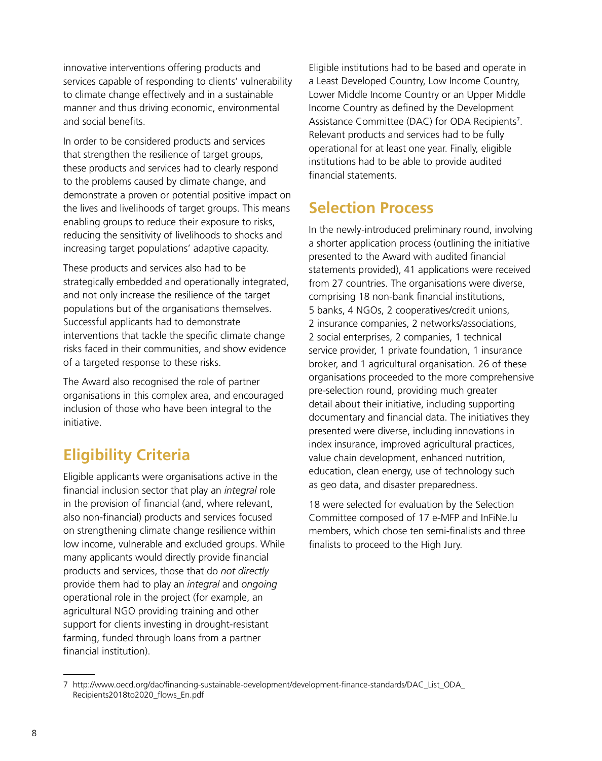innovative interventions offering products and services capable of responding to clients' vulnerability to climate change effectively and in a sustainable manner and thus driving economic, environmental and social benefits.

In order to be considered products and services that strengthen the resilience of target groups, these products and services had to clearly respond to the problems caused by climate change, and demonstrate a proven or potential positive impact on the lives and livelihoods of target groups. This means enabling groups to reduce their exposure to risks, reducing the sensitivity of livelihoods to shocks and increasing target populations' adaptive capacity.

These products and services also had to be strategically embedded and operationally integrated, and not only increase the resilience of the target populations but of the organisations themselves. Successful applicants had to demonstrate interventions that tackle the specific climate change risks faced in their communities, and show evidence of a targeted response to these risks.

The Award also recognised the role of partner organisations in this complex area, and encouraged inclusion of those who have been integral to the initiative.

# **Eligibility Criteria**

Eligible applicants were organisations active in the financial inclusion sector that play an *integral* role in the provision of financial (and, where relevant, also non-financial) products and services focused on strengthening climate change resilience within low income, vulnerable and excluded groups. While many applicants would directly provide financial products and services, those that do *not directly* provide them had to play an *integral* and *ongoing* operational role in the project (for example, an agricultural NGO providing training and other support for clients investing in drought-resistant farming, funded through loans from a partner financial institution).

Eligible institutions had to be based and operate in a Least Developed Country, Low Income Country, Lower Middle Income Country or an Upper Middle Income Country as defined by the Development Assistance Committee (DAC) for ODA Recipients<sup>7</sup>. Relevant products and services had to be fully operational for at least one year. Finally, eligible institutions had to be able to provide audited financial statements.

## **Selection Process**

In the newly-introduced preliminary round, involving a shorter application process (outlining the initiative presented to the Award with audited financial statements provided), 41 applications were received from 27 countries. The organisations were diverse, comprising 18 non-bank financial institutions, 5 banks, 4 NGOs, 2 cooperatives/credit unions, 2 insurance companies, 2 networks/associations, 2 social enterprises, 2 companies, 1 technical service provider, 1 private foundation, 1 insurance broker, and 1 agricultural organisation. 26 of these organisations proceeded to the more comprehensive pre-selection round, providing much greater detail about their initiative, including supporting documentary and financial data. The initiatives they presented were diverse, including innovations in index insurance, improved agricultural practices, value chain development, enhanced nutrition, education, clean energy, use of technology such as geo data, and disaster preparedness.

18 were selected for evaluation by the Selection Committee composed of 17 e-MFP and InFiNe.lu members, which chose ten semi-finalists and three finalists to proceed to the High Jury.

<sup>7</sup> [http://www.oecd.org/dac/financing-sustainable-development/development-finance-standards/DAC\\_List\\_ODA\\_](http://www.oecd.org/dac/financing-sustainable-development/development-finance-standards/DAC_List_ODA_Recipients2018to2020_flows_En.pdf) [Recipients2018to2020\\_flows\\_En.pdf](http://www.oecd.org/dac/financing-sustainable-development/development-finance-standards/DAC_List_ODA_Recipients2018to2020_flows_En.pdf)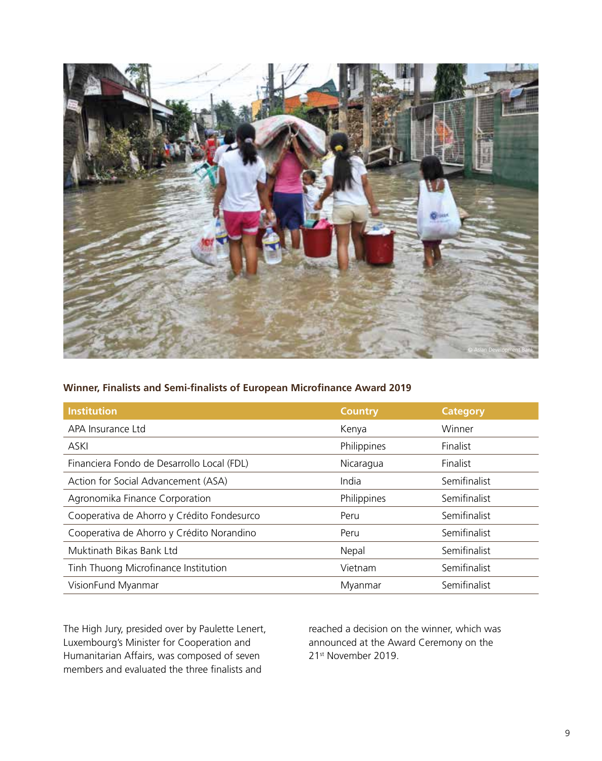

#### **Winner, Finalists and Semi-finalists of European Microfinance Award 2019**

| <b>Institution</b>                         | <b>Country</b> | <b>Category</b> |
|--------------------------------------------|----------------|-----------------|
| APA Insurance Ltd                          | Kenya          | Winner          |
| <b>ASKI</b>                                | Philippines    | Finalist        |
| Financiera Fondo de Desarrollo Local (FDL) | Nicaragua      | Finalist        |
| Action for Social Advancement (ASA)        | India          | Semifinalist    |
| Agronomika Finance Corporation             | Philippines    | Semifinalist    |
| Cooperativa de Ahorro y Crédito Fondesurco | Peru           | Semifinalist    |
| Cooperativa de Ahorro y Crédito Norandino  | Peru           | Semifinalist    |
| Muktinath Bikas Bank Ltd                   | Nepal          | Semifinalist    |
| Tinh Thuong Microfinance Institution       | Vietnam        | Semifinalist    |
| VisionFund Myanmar                         | Myanmar        | Semifinalist    |

The High Jury, presided over by Paulette Lenert, Luxembourg's Minister for Cooperation and Humanitarian Affairs, was composed of seven members and evaluated the three finalists and

reached a decision on the winner, which was announced at the Award Ceremony on the 21st November 2019.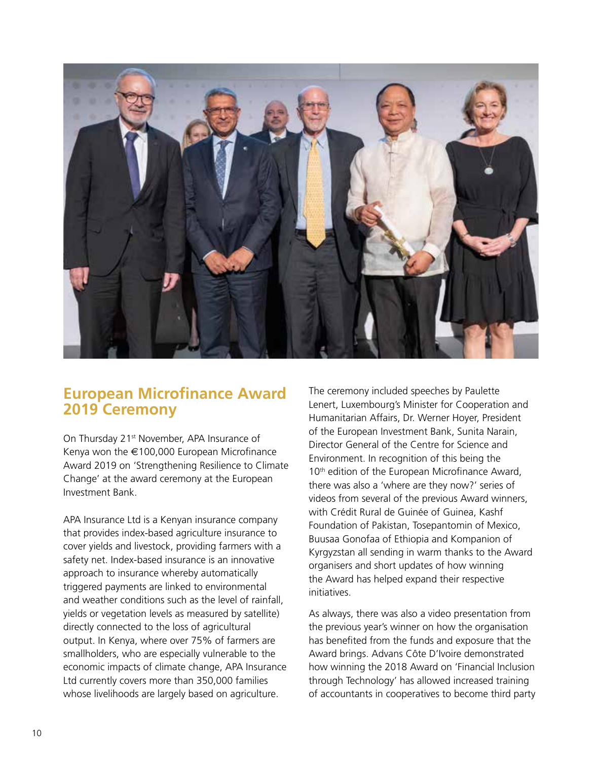

### **European Microfinance Award 2019 Ceremony**

On Thursday 21<sup>st</sup> November, APA Insurance of Kenya won the €100,000 [European Microfinance](https://www.eiseverywhere.com/emarketing/go.php?i=730743&e=c21tZW5kZWxzb25AZ21haWwuY29t&l=http://www.european-microfinance-award.com/)  [Award 2019](https://www.eiseverywhere.com/emarketing/go.php?i=730743&e=c21tZW5kZWxzb25AZ21haWwuY29t&l=http://www.european-microfinance-award.com/) on 'Strengthening Resilience to Climate Change' at the award ceremony at the European Investment Bank.

APA Insurance Ltd is a Kenyan insurance company that provides index-based agriculture insurance to cover yields and livestock, providing farmers with a safety net. Index-based insurance is an innovative approach to insurance whereby automatically triggered payments are linked to environmental and weather conditions such as the level of rainfall, yields or vegetation levels as measured by satellite) directly connected to the loss of agricultural output. In Kenya, where over 75% of farmers are smallholders, who are especially vulnerable to the economic impacts of climate change, APA Insurance Ltd currently covers more than 350,000 families whose livelihoods are largely based on agriculture.

The ceremony included speeches by Paulette Lenert, Luxembourg's Minister for Cooperation and Humanitarian Affairs, Dr. Werner Hoyer, President of the European Investment Bank, Sunita Narain, Director General of the Centre for Science and Environment. In recognition of this being the 10<sup>th</sup> edition of the European Microfinance Award, there was also a 'where are they now?' series of videos from several of the previous Award winners, with Crédit Rural de Guinée of Guinea, Kashf Foundation of Pakistan, Tosepantomin of Mexico, Buusaa Gonofaa of Ethiopia and Kompanion of Kyrgyzstan all sending in warm thanks to the Award organisers and short updates of how winning the Award has helped expand their respective initiatives.

As always, there was also a video presentation from the previous year's winner on how the organisation has benefited from the funds and exposure that the Award brings. Advans Côte D'Ivoire demonstrated how winning the 2018 Award on 'Financial Inclusion through Technology' has allowed increased training of accountants in cooperatives to become third party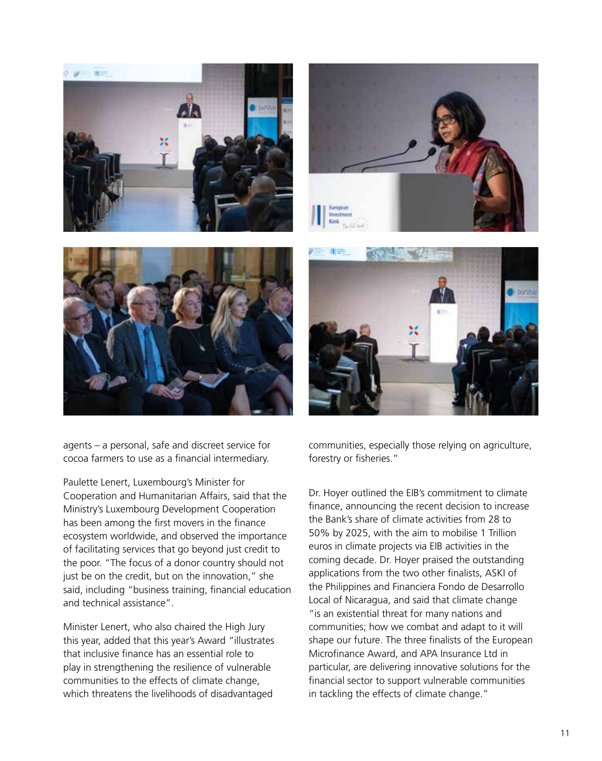







Paulette Lenert, Luxembourg's Minister for Cooperation and Humanitarian Affairs, said that the Ministry's Luxembourg Development Cooperation has been among the first movers in the finance ecosystem worldwide, and observed the importance of facilitating services that go beyond just credit to the poor. "The focus of a donor country should not just be on the credit, but on the innovation," she said, including "business training, financial education and technical assistance".

Minister Lenert, who also chaired the High Jury this year, added that this year's Award "illustrates that inclusive finance has an essential role to play in strengthening the resilience of vulnerable communities to the effects of climate change, which threatens the livelihoods of disadvantaged



communities, especially those relying on agriculture, forestry or fisheries."

Dr. Hoyer outlined the EIB's commitment to climate finance, announcing the recent decision to increase the Bank's share of climate activities from 28 to 50% by 2025, with the aim to mobilise 1 Trillion euros in climate projects via EIB activities in the coming decade. Dr. Hoyer praised the outstanding applications from the two other finalists, ASKI of the Philippines and Financiera Fondo de Desarrollo Local of Nicaragua, and said that climate change "is an existential threat for many nations and communities; how we combat and adapt to it will shape our future. The three finalists of the European Microfinance Award, and APA Insurance Ltd in particular, are delivering innovative solutions for the financial sector to support vulnerable communities in tackling the effects of climate change."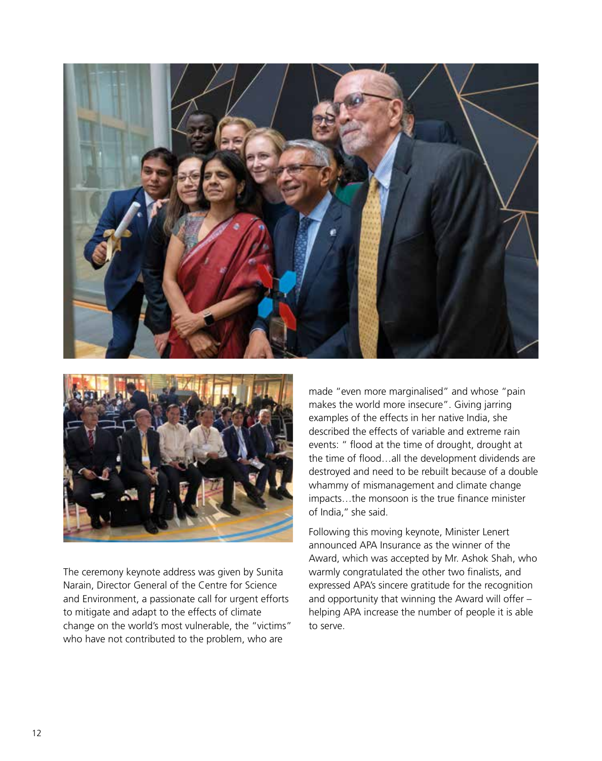



The ceremony keynote address was given by Sunita Narain, Director General of the Centre for Science and Environment, a passionate call for urgent efforts to mitigate and adapt to the effects of climate change on the world's most vulnerable, the "victims" who have not contributed to the problem, who are

made "even more marginalised" and whose "pain makes the world more insecure". Giving jarring examples of the effects in her native India, she described the effects of variable and extreme rain events: " flood at the time of drought, drought at the time of flood…all the development dividends are destroyed and need to be rebuilt because of a double whammy of mismanagement and climate change impacts…the monsoon is the true finance minister of India,'' she said.

Following this moving keynote, Minister Lenert announced APA Insurance as the winner of the Award, which was accepted by Mr. Ashok Shah, who warmly congratulated the other two finalists, and expressed APA's sincere gratitude for the recognition and opportunity that winning the Award will offer – helping APA increase the number of people it is able to serve.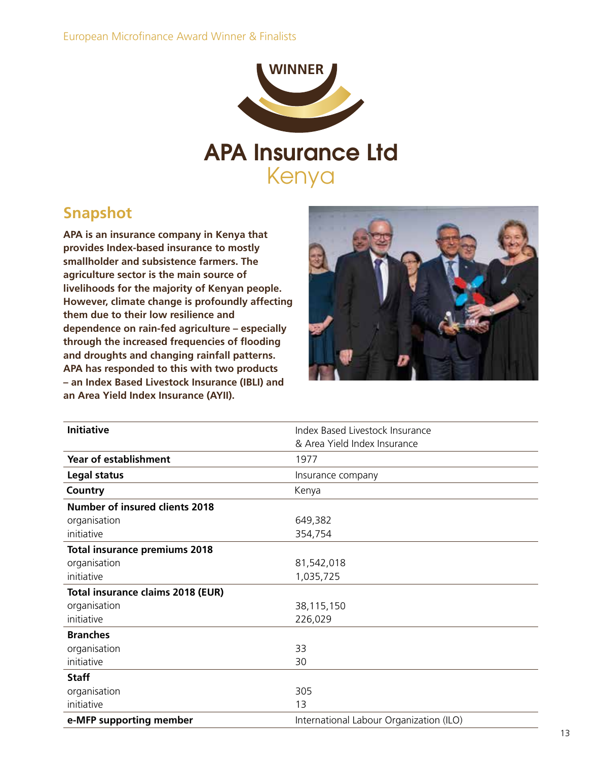

Kenya

### **Snapshot**

**APA is an insurance company in Kenya that provides Index-based insurance to mostly smallholder and subsistence farmers. The agriculture sector is the main source of livelihoods for the majority of Kenyan people. However, climate change is profoundly affecting them due to their low resilience and dependence on rain-fed agriculture – especially through the increased frequencies of flooding and droughts and changing rainfall patterns. APA has responded to this with two products – an Index Based Livestock Insurance (IBLI) and an Area Yield Index Insurance (AYII).**



| <b>Initiative</b>                     | Index Based Livestock Insurance         |  |
|---------------------------------------|-----------------------------------------|--|
|                                       | & Area Yield Index Insurance            |  |
| <b>Year of establishment</b>          | 1977                                    |  |
| Legal status                          | Insurance company                       |  |
| Country                               | Kenya                                   |  |
| <b>Number of insured clients 2018</b> |                                         |  |
| organisation                          | 649,382                                 |  |
| initiative                            | 354,754                                 |  |
| <b>Total insurance premiums 2018</b>  |                                         |  |
| organisation                          | 81,542,018                              |  |
| initiative                            | 1,035,725                               |  |
| Total insurance claims 2018 (EUR)     |                                         |  |
| organisation                          | 38,115,150                              |  |
| initiative                            | 226,029                                 |  |
| <b>Branches</b>                       |                                         |  |
| organisation                          | 33                                      |  |
| initiative                            | 30                                      |  |
| <b>Staff</b>                          |                                         |  |
| organisation                          | 305                                     |  |
| initiative                            | 13                                      |  |
| e-MFP supporting member               | International Labour Organization (ILO) |  |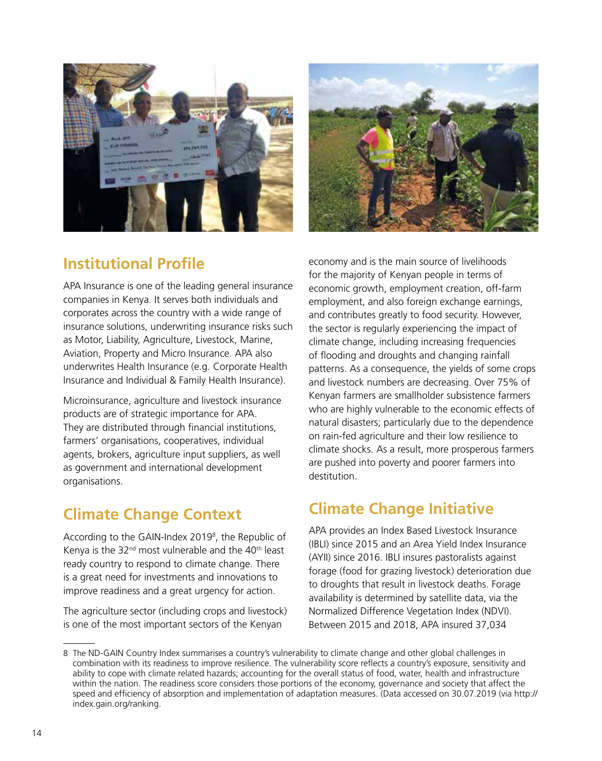



# **Institutional Profile**

APA Insurance is one of the leading general insurance companies in Kenya. It serves both individuals and corporates across the country with a wide range of insurance solutions, underwriting insurance risks such as Motor, Liability, Agriculture, Livestock, Marine, Aviation, Property and Micro Insurance. APA also underwrites Health Insurance (e.g. Corporate Health Insurance and Individual & Family Health Insurance).

Microinsurance, agriculture and livestock insurance products are of strategic importance for APA. They are distributed through financial institutions, farmers' organisations, cooperatives, individual agents, brokers, agriculture input suppliers, as well as government and international development organisations.

# **Climate Change Context**

According to the GAIN-Index 2019<sup>8</sup>, the Republic of Kenya is the  $32<sup>nd</sup>$  most vulnerable and the  $40<sup>th</sup>$  least ready country to respond to climate change. There is a great need for investments and innovations to improve readiness and a great urgency for action.

The agriculture sector (including crops and livestock) is one of the most important sectors of the Kenyan

economy and is the main source of livelihoods for the majority of Kenyan people in terms of economic growth, employment creation, off-farm employment, and also foreign exchange earnings, and contributes greatly to food security. However, the sector is regularly experiencing the impact of climate change, including increasing frequencies of flooding and droughts and changing rainfall patterns. As a consequence, the yields of some crops and livestock numbers are decreasing. Over 75% of Kenyan farmers are smallholder subsistence farmers who are highly vulnerable to the economic effects of natural disasters; particularly due to the dependence on rain-fed agriculture and their low resilience to climate shocks. As a result, more prosperous farmers are pushed into poverty and poorer farmers into destitution.

# **Climate Change Initiative**

APA provides an Index Based Livestock Insurance (IBLI) since 2015 and an Area Yield Index Insurance (AYII) since 2016. IBLI insures pastoralists against forage (food for grazing livestock) deterioration due to droughts that result in livestock deaths. Forage availability is determined by satellite data, via the Normalized Difference Vegetation Index (NDVI). Between 2015 and 2018, APA insured 37,034

<sup>8</sup> The ND-GAIN Country Index summarises a country's vulnerability to climate change and other global challenges in combination with its readiness to improve resilience. The vulnerability score reflects a country's exposure, sensitivity and ability to cope with climate related hazards; accounting for the overall status of food, water, health and infrastructure within the nation. The readiness score considers those portions of the economy, governance and society that affect the speed and efficiency of absorption and implementation of adaptation measures. (Data accessed on 30.07.2019 (via http:// index.gain.org/ranking.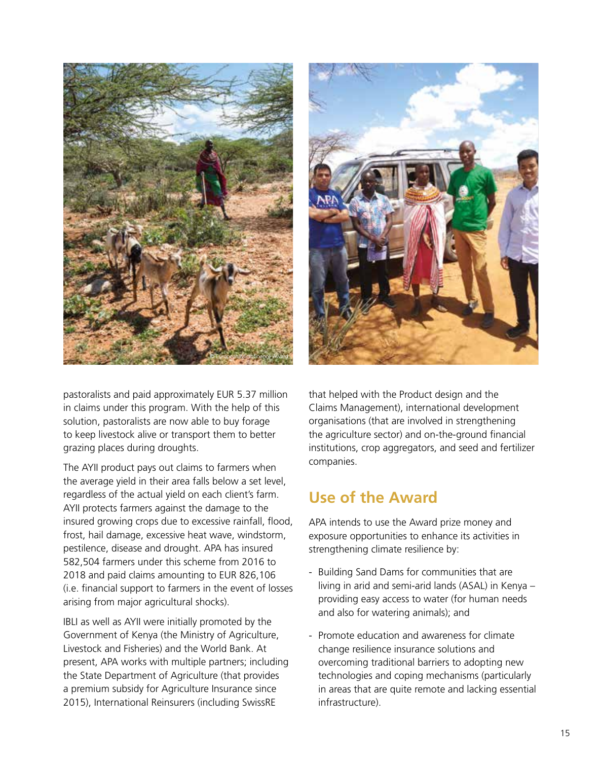



pastoralists and paid approximately EUR 5.37 million in claims under this program. With the help of this solution, pastoralists are now able to buy forage to keep livestock alive or transport them to better grazing places during droughts.

The AYII product pays out claims to farmers when the average yield in their area falls below a set level, regardless of the actual yield on each client's farm. AYII protects farmers against the damage to the insured growing crops due to excessive rainfall, flood, frost, hail damage, excessive heat wave, windstorm, pestilence, disease and drought. APA has insured 582,504 farmers under this scheme from 2016 to 2018 and paid claims amounting to EUR 826,106 (i.e. financial support to farmers in the event of losses arising from major agricultural shocks).

IBLI as well as AYII were initially promoted by the Government of Kenya (the Ministry of Agriculture, Livestock and Fisheries) and the World Bank. At present, APA works with multiple partners; including the State Department of Agriculture (that provides a premium subsidy for Agriculture Insurance since 2015), International Reinsurers (including SwissRE

that helped with the Product design and the Claims Management), international development organisations (that are involved in strengthening the agriculture sector) and on-the-ground financial institutions, crop aggregators, and seed and fertilizer companies.

### **Use of the Award**

APA intends to use the Award prize money and exposure opportunities to enhance its activities in strengthening climate resilience by:

- Building Sand Dams for communities that are living in arid and semi-arid lands (ASAL) in Kenya – providing easy access to water (for human needs and also for watering animals); and
- Promote education and awareness for climate change resilience insurance solutions and overcoming traditional barriers to adopting new technologies and coping mechanisms (particularly in areas that are quite remote and lacking essential infrastructure).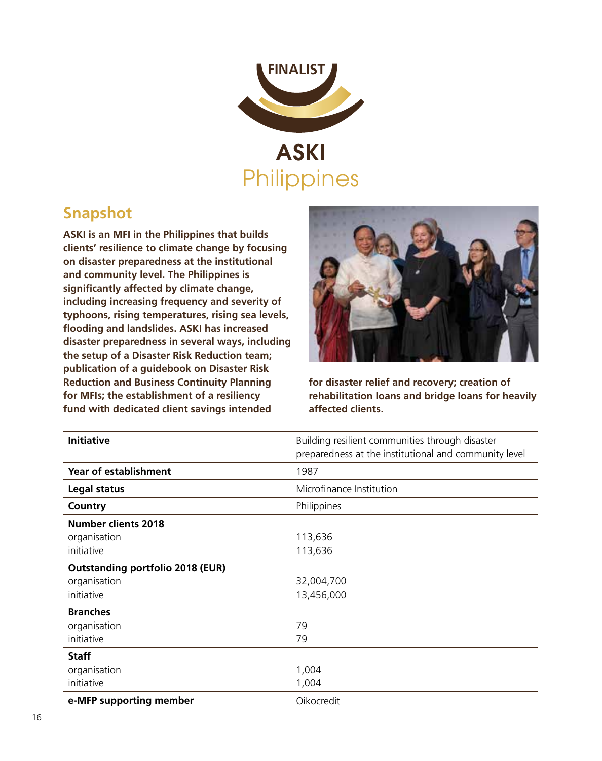

### **Snapshot**

**ASKI is an MFI in the Philippines that builds clients' resilience to climate change by focusing on disaster preparedness at the institutional and community level. The Philippines is significantly affected by climate change, including increasing frequency and severity of typhoons, rising temperatures, rising sea levels, flooding and landslides. ASKI has increased disaster preparedness in several ways, including the setup of a Disaster Risk Reduction team; publication of a guidebook on Disaster Risk Reduction and Business Continuity Planning for MFIs; the establishment of a resiliency fund with dedicated client savings intended** 



**for disaster relief and recovery; creation of rehabilitation loans and bridge loans for heavily affected clients.**

| <b>Initiative</b>                       | Building resilient communities through disaster       |
|-----------------------------------------|-------------------------------------------------------|
|                                         | preparedness at the institutional and community level |
| Year of establishment                   | 1987                                                  |
| Legal status                            | Microfinance Institution                              |
| Country                                 | Philippines                                           |
| <b>Number clients 2018</b>              |                                                       |
| organisation                            | 113,636                                               |
| initiative                              | 113,636                                               |
| <b>Outstanding portfolio 2018 (EUR)</b> |                                                       |
| organisation                            | 32,004,700                                            |
| initiative                              | 13,456,000                                            |
| <b>Branches</b>                         |                                                       |
| organisation                            | 79                                                    |
| initiative                              | 79                                                    |
| <b>Staff</b>                            |                                                       |
| organisation                            | 1,004                                                 |
| initiative                              | 1,004                                                 |
| e-MFP supporting member                 | Oikocredit                                            |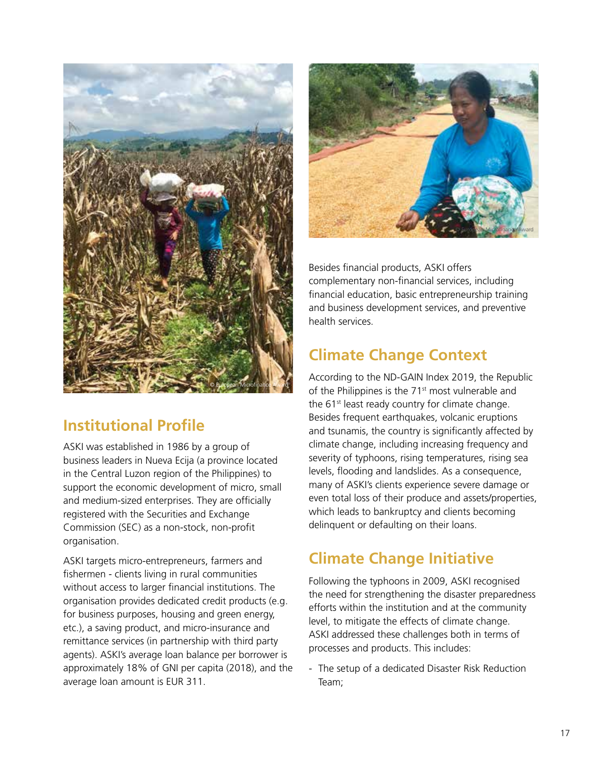

# **Institutional Profile**

ASKI was established in 1986 by a group of business leaders in Nueva Ecija (a province located in the Central Luzon region of the Philippines) to support the economic development of micro, small and medium-sized enterprises. They are officially registered with the Securities and Exchange Commission (SEC) as a non-stock, non-profit organisation.

ASKI targets micro-entrepreneurs, farmers and fishermen - clients living in rural communities without access to larger financial institutions. The organisation provides dedicated credit products (e.g. for business purposes, housing and green energy, etc.), a saving product, and micro-insurance and remittance services (in partnership with third party agents). ASKI's average loan balance per borrower is approximately 18% of GNI per capita (2018), and the average loan amount is EUR 311.



Besides financial products, ASKI offers complementary non-financial services, including financial education, basic entrepreneurship training and business development services, and preventive health services.

# **Climate Change Context**

According to the ND-GAIN Index 2019, the Republic of the Philippines is the 71st most vulnerable and the 61<sup>st</sup> least ready country for climate change. Besides frequent earthquakes, volcanic eruptions and tsunamis, the country is significantly affected by climate change, including increasing frequency and severity of typhoons, rising temperatures, rising sea levels, flooding and landslides. As a consequence, many of ASKI's clients experience severe damage or even total loss of their produce and assets/properties, which leads to bankruptcy and clients becoming delinquent or defaulting on their loans.

# **Climate Change Initiative**

Following the typhoons in 2009, ASKI recognised the need for strengthening the disaster preparedness efforts within the institution and at the community level, to mitigate the effects of climate change. ASKI addressed these challenges both in terms of processes and products. This includes:

- The setup of a dedicated Disaster Risk Reduction Team;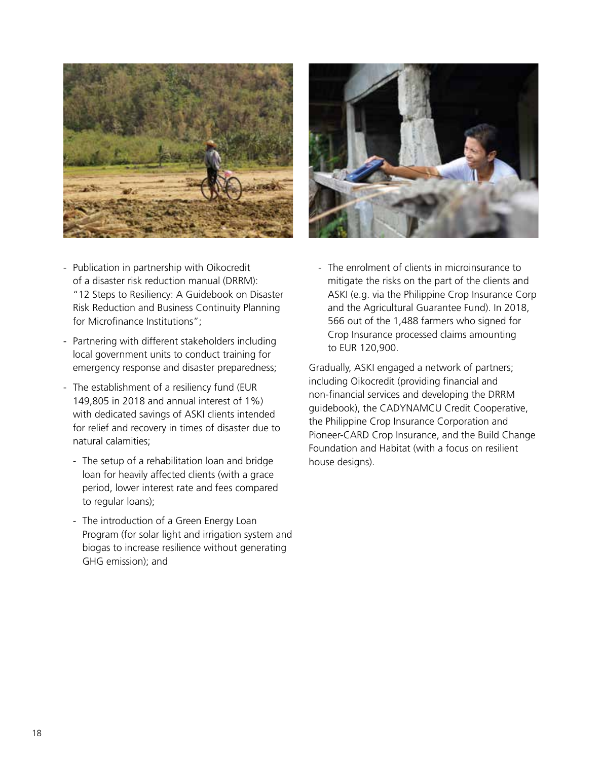



- Publication in partnership with Oikocredit of a disaster risk reduction manual (DRRM): "12 Steps to Resiliency: A Guidebook on Disaster Risk Reduction and Business Continuity Planning for Microfinance Institutions";
- Partnering with different stakeholders including local government units to conduct training for emergency response and disaster preparedness;
- The establishment of a resiliency fund (EUR 149,805 in 2018 and annual interest of 1%) with dedicated savings of ASKI clients intended for relief and recovery in times of disaster due to natural calamities;
	- The setup of a rehabilitation loan and bridge loan for heavily affected clients (with a grace period, lower interest rate and fees compared to regular loans);
	- The introduction of a Green Energy Loan Program (for solar light and irrigation system and biogas to increase resilience without generating GHG emission); and

- The enrolment of clients in microinsurance to mitigate the risks on the part of the clients and ASKI (e.g. via the Philippine Crop Insurance Corp and the Agricultural Guarantee Fund). In 2018, 566 out of the 1,488 farmers who signed for Crop Insurance processed claims amounting to EUR 120,900.

Gradually, ASKI engaged a network of partners; including Oikocredit (providing financial and non-financial services and developing the DRRM guidebook), the CADYNAMCU Credit Cooperative, the Philippine Crop Insurance Corporation and Pioneer-CARD Crop Insurance, and the Build Change Foundation and Habitat (with a focus on resilient house designs).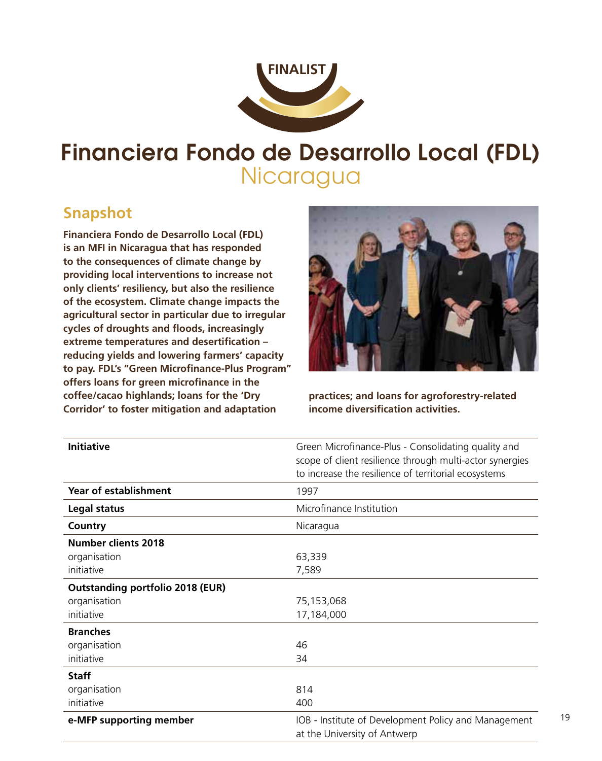

# Financiera Fondo de Desarrollo Local (FDL) **Nicaragua**

### **Snapshot**

**Financiera Fondo de Desarrollo Local (FDL) is an MFI in Nicaragua that has responded to the consequences of climate change by providing local interventions to increase not only clients' resiliency, but also the resilience of the ecosystem. Climate change impacts the agricultural sector in particular due to irregular cycles of droughts and floods, increasingly extreme temperatures and desertification – reducing yields and lowering farmers' capacity to pay. FDL's "Green Microfinance-Plus Program" offers loans for green microfinance in the coffee/cacao highlands; loans for the 'Dry Corridor' to foster mitigation and adaptation** 



**practices; and loans for agroforestry-related income diversification activities.**

19

| <b>Initiative</b>                       | Green Microfinance-Plus - Consolidating quality and<br>scope of client resilience through multi-actor synergies<br>to increase the resilience of territorial ecosystems |
|-----------------------------------------|-------------------------------------------------------------------------------------------------------------------------------------------------------------------------|
| <b>Year of establishment</b>            | 1997                                                                                                                                                                    |
| Legal status                            | Microfinance Institution                                                                                                                                                |
| Country                                 | Nicaragua                                                                                                                                                               |
| Number clients 2018                     |                                                                                                                                                                         |
| organisation                            | 63,339                                                                                                                                                                  |
| initiative                              | 7,589                                                                                                                                                                   |
| <b>Outstanding portfolio 2018 (EUR)</b> |                                                                                                                                                                         |
| organisation                            | 75,153,068                                                                                                                                                              |
| initiative                              | 17,184,000                                                                                                                                                              |
| <b>Branches</b>                         |                                                                                                                                                                         |
| organisation                            | 46                                                                                                                                                                      |
| initiative                              | 34                                                                                                                                                                      |
| <b>Staff</b>                            |                                                                                                                                                                         |
| organisation                            | 814                                                                                                                                                                     |
| initiative                              | 400                                                                                                                                                                     |
| e-MFP supporting member                 | IOB - Institute of Development Policy and Management<br>at the University of Antwerp                                                                                    |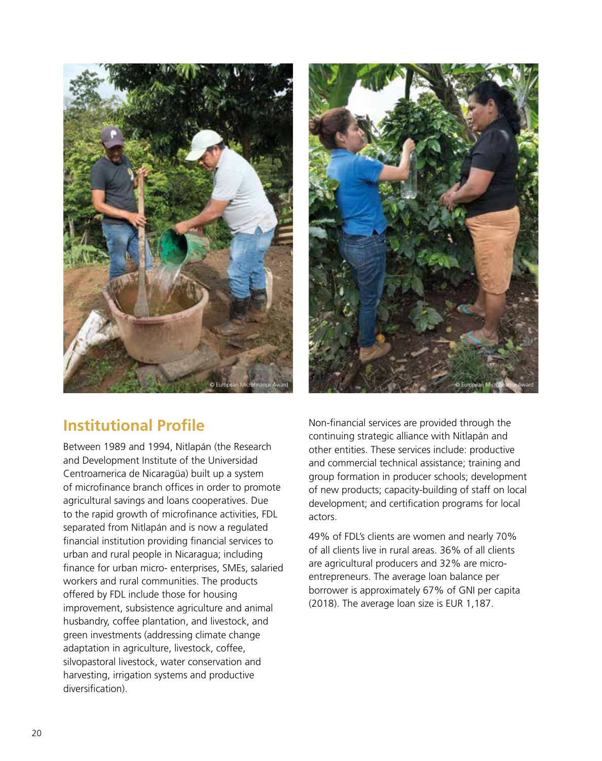



# **Institutional Profile**

Between 1989 and 1994, Nitlapán (the Research and Development Institute of the Universidad Centroamerica de Nicaragüa) built up a system of microfinance branch offices in order to promote agricultural savings and loans cooperatives. Due to the rapid growth of microfinance activities, FDL separated from Nitlapán and is now a regulated financial institution providing financial services to urban and rural people in Nicaragua; including finance for urban micro- enterprises, SMEs, salaried workers and rural communities. The products offered by FDL include those for housing improvement, subsistence agriculture and animal husbandry, coffee plantation, and livestock, and green investments (addressing climate change adaptation in agriculture, livestock, coffee, silvopastoral livestock, water conservation and harvesting, irrigation systems and productive diversification).

Non-financial services are provided through the continuing strategic alliance with Nitlapán and other entities. These services include: productive and commercial technical assistance; training and group formation in producer schools; development of new products; capacity-building of staff on local development; and certification programs for local actors.

49% of FDL's clients are women and nearly 70% of all clients live in rural areas. 36% of all clients are agricultural producers and 32% are microentrepreneurs. The average loan balance per borrower is approximately 67% of GNI per capita (2018). The average loan size is EUR 1,187.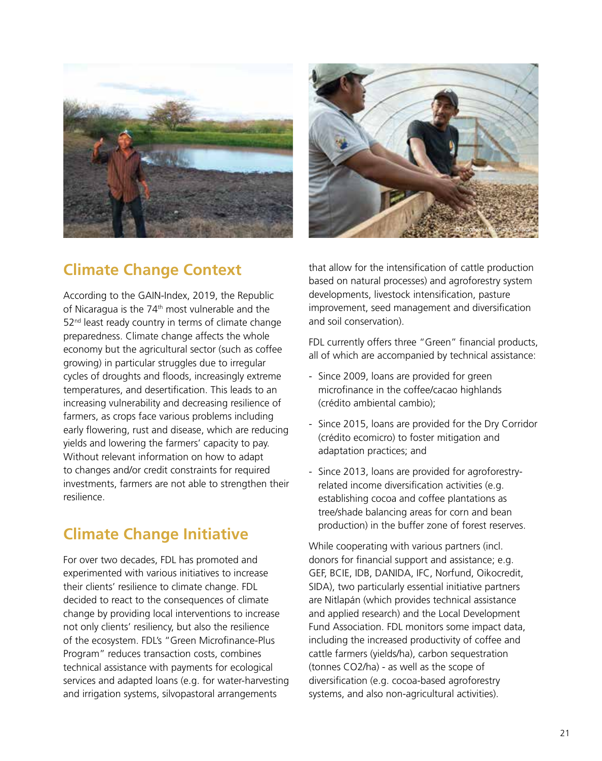



# **Climate Change Context**

According to the GAIN-Index, 2019, the Republic of Nicaragua is the 74<sup>th</sup> most vulnerable and the 52<sup>nd</sup> least ready country in terms of climate change preparedness. Climate change affects the whole economy but the agricultural sector (such as coffee growing) in particular struggles due to irregular cycles of droughts and floods, increasingly extreme temperatures, and desertification. This leads to an increasing vulnerability and decreasing resilience of farmers, as crops face various problems including early flowering, rust and disease, which are reducing yields and lowering the farmers' capacity to pay. Without relevant information on how to adapt to changes and/or credit constraints for required investments, farmers are not able to strengthen their resilience.

# **Climate Change Initiative**

For over two decades, FDL has promoted and experimented with various initiatives to increase their clients' resilience to climate change. FDL decided to react to the consequences of climate change by providing local interventions to increase not only clients' resiliency, but also the resilience of the ecosystem. FDL's "Green Microfinance-Plus Program" reduces transaction costs, combines technical assistance with payments for ecological services and adapted loans (e.g. for water-harvesting and irrigation systems, silvopastoral arrangements

that allow for the intensification of cattle production based on natural processes) and agroforestry system developments, livestock intensification, pasture improvement, seed management and diversification and soil conservation).

FDL currently offers three "Green" financial products, all of which are accompanied by technical assistance:

- Since 2009, loans are provided for green microfinance in the coffee/cacao highlands (crédito ambiental cambio);
- Since 2015, loans are provided for the Dry Corridor (crédito ecomicro) to foster mitigation and adaptation practices; and
- Since 2013, loans are provided for agroforestryrelated income diversification activities (e.g. establishing cocoa and coffee plantations as tree/shade balancing areas for corn and bean production) in the buffer zone of forest reserves.

While cooperating with various partners (incl. donors for financial support and assistance; e.g. GEF, BCIE, IDB, DANIDA, IFC, Norfund, Oikocredit, SIDA), two particularly essential initiative partners are Nitlapán (which provides technical assistance and applied research) and the Local Development Fund Association. FDL monitors some impact data, including the increased productivity of coffee and cattle farmers (yields/ha), carbon sequestration (tonnes CO2/ha) - as well as the scope of diversification (e.g. cocoa-based agroforestry systems, and also non-agricultural activities).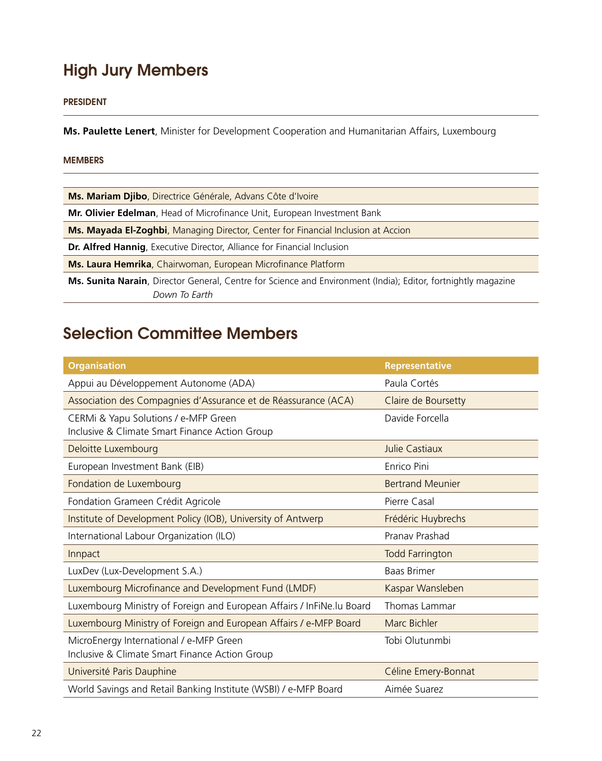# High Jury Members

#### PRESIDENT

**Ms. Paulette Lenert**, Minister for Development Cooperation and Humanitarian Affairs, Luxembourg

#### MEMBERS

| Ms. Mariam Djibo, Directrice Générale, Advans Côte d'Ivoire                                                   |  |
|---------------------------------------------------------------------------------------------------------------|--|
| Mr. Olivier Edelman, Head of Microfinance Unit, European Investment Bank                                      |  |
| <b>Ms. Mayada El-Zoghbi</b> , Managing Director, Center for Financial Inclusion at Accion                     |  |
| Dr. Alfred Hannig, Executive Director, Alliance for Financial Inclusion                                       |  |
| Ms. Laura Hemrika, Chairwoman, European Microfinance Platform                                                 |  |
| Ms. Sunita Narain, Director General, Centre for Science and Environment (India); Editor, fortnightly magazine |  |
| Down To Earth                                                                                                 |  |

# Selection Committee Members

| <b>Organisation</b>                                                                       | <b>Representative</b>   |
|-------------------------------------------------------------------------------------------|-------------------------|
| Appui au Développement Autonome (ADA)                                                     | Paula Cortés            |
| Association des Compagnies d'Assurance et de Réassurance (ACA)                            | Claire de Boursetty     |
| CERMi & Yapu Solutions / e-MFP Green<br>Inclusive & Climate Smart Finance Action Group    | Davide Forcella         |
| Deloitte Luxembourg                                                                       | Julie Castiaux          |
| European Investment Bank (EIB)                                                            | <b>Fnrico Pini</b>      |
| Fondation de Luxembourg                                                                   | <b>Bertrand Meunier</b> |
| Fondation Grameen Crédit Agricole                                                         | Pierre Casal            |
| Institute of Development Policy (IOB), University of Antwerp                              | Frédéric Huybrechs      |
| International Labour Organization (ILO)                                                   | Pranav Prashad          |
| Innpact                                                                                   | <b>Todd Farrington</b>  |
| LuxDev (Lux-Development S.A.)                                                             | <b>Baas Brimer</b>      |
| Luxembourg Microfinance and Development Fund (LMDF)                                       | Kaspar Wansleben        |
| Luxembourg Ministry of Foreign and European Affairs / InFiNe.lu Board                     | Thomas Lammar           |
| Luxembourg Ministry of Foreign and European Affairs / e-MFP Board                         | Marc Bichler            |
| MicroEnergy International / e-MFP Green<br>Inclusive & Climate Smart Finance Action Group | Tobi Olutunmbi          |
| Université Paris Dauphine                                                                 | Céline Emery-Bonnat     |
| World Savings and Retail Banking Institute (WSBI) / e-MFP Board                           | Aimée Suarez            |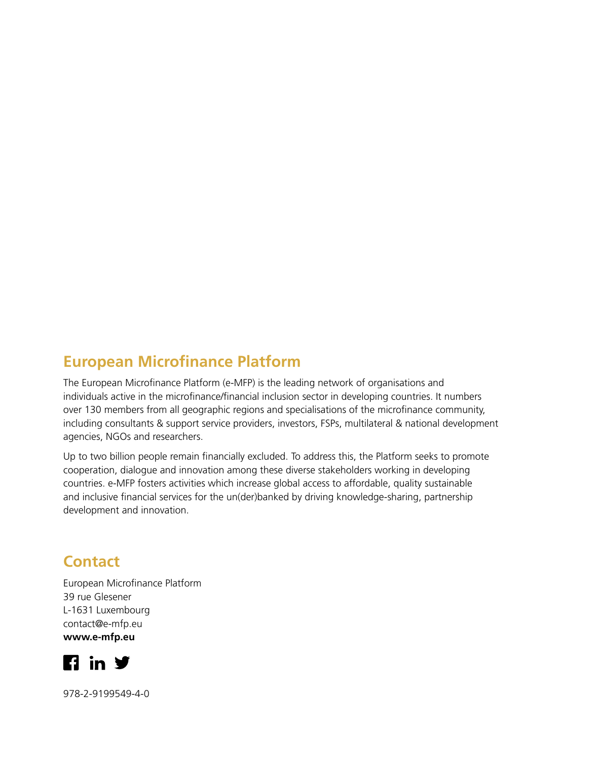## **European Microfinance Platform**

The European Microfinance Platform (e-MFP) is the leading network of organisations and individuals active in the microfinance/financial inclusion sector in developing countries. It numbers over 130 members from all geographic regions and specialisations of the microfinance community, including consultants & support service providers, investors, FSPs, multilateral & national development agencies, NGOs and researchers.

Up to two billion people remain financially excluded. To address this, the Platform seeks to promote cooperation, dialogue and innovation among these diverse stakeholders working in developing countries. e-MFP fosters activities which increase global access to affordable, quality sustainable and inclusive financial services for the un(der)banked by driving knowledge-sharing, partnership development and innovation.

### **Contact**

European Microfinance Platform 39 rue Glesener L-1631 Luxembourg [contact@e-mfp.eu](mailto:contact@e-mfp.eu) **www.e-mfp.eu**



978-2-9199549-4-0